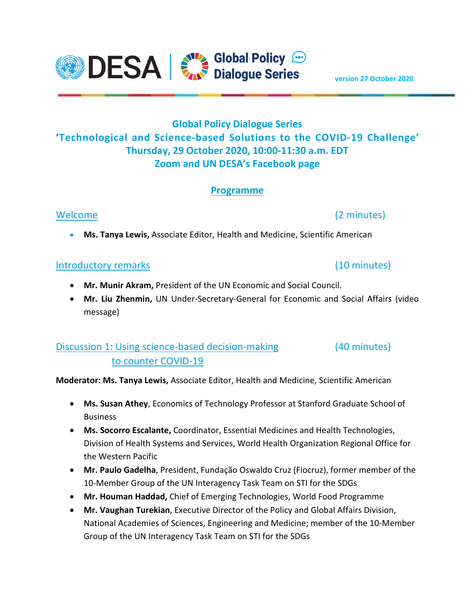

# **Programme**

## Welcome (2 minutes)

**Ms. Tanya Lewis,** Associate Editor, Health and Medicine, Scientific American

### Introductory remarks (10 minutes)

- **Mr. Munir Akram,** President of the UN Economic and Social Council.
- **Mr. Liu Zhenmin,** UN Under-Secretary-General for Economic and Social Affairs (video message)

# Discussion 1: Using science-based decision-making (40 minutes) to counter COVID-19

**Moderator: Ms. Tanya Lewis,** Associate Editor, Health and Medicine, Scientific American

- **Ms. Susan Athey**, Economics of Technology Professor at Stanford Graduate School of Business
- **Ms. Socorro Escalante,** Coordinator, Essential Medicines and Health Technologies, Division of Health Systems and Services, World Health Organization Regional Office for the Western Pacific
- **Mr. Paulo Gadelha**, President, Fundação Oswaldo Cruz (Fiocruz), former member of the 10-Member Group of the UN Interagency Task Team on STI for the SDGs
- **Mr. Houman Haddad,** Chief of Emerging Technologies, World Food Programme
- **Mr. Vaughan Turekian**, Executive Director of the Policy and Global Affairs Division, National Academies of Sciences, Engineering and Medicine; member of the 10-Member Group of the UN Interagency Task Team on STI for the SDGs